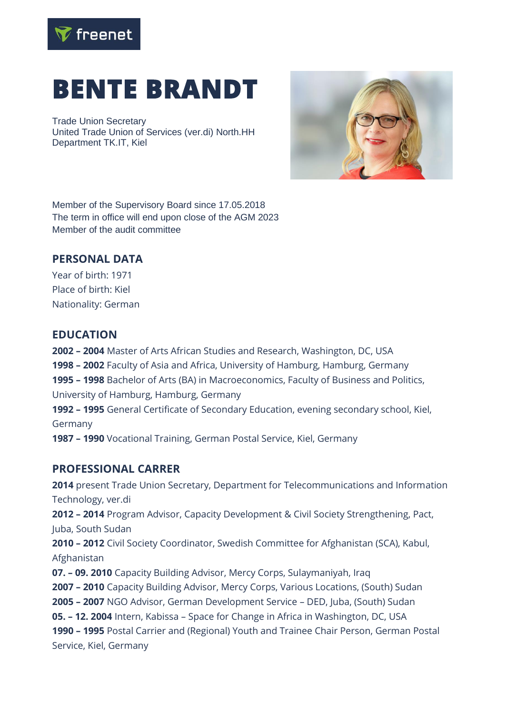

# **BENTE BRANDT**

Trade Union Secretary United Trade Union of Services (ver.di) North.HH Department TK.IT, Kiel



Member of the Supervisory Board since 17.05.2018 The term in office will end upon close of the AGM 2023 Member of the audit committee

#### **PERSONAL DATA**

Year of birth: 1971 Place of birth: Kiel Nationality: German

#### **EDUCATION**

 **– 2004** Master of Arts African Studies and Research, Washington, DC, USA **– 2002** Faculty of Asia and Africa, University of Hamburg, Hamburg, Germany **– 1998** Bachelor of Arts (BA) in Macroeconomics, Faculty of Business and Politics, University of Hamburg, Hamburg, Germany **– 1995** General Certificate of Secondary Education, evening secondary school, Kiel,

Germany

**1987 – 1990** Vocational Training, German Postal Service, Kiel, Germany

### **PROFESSIONAL CARRER**

**2014** present Trade Union Secretary, Department for Telecommunications and Information Technology, ver.di **2012 – 2014** Program Advisor, Capacity Development & Civil Society Strengthening, Pact, Juba, South Sudan **2010 – 2012** Civil Society Coordinator, Swedish Committee for Afghanistan (SCA), Kabul, Afghanistan **07. – 09. 2010** Capacity Building Advisor, Mercy Corps, Sulaymaniyah, Iraq **2007 – 2010** Capacity Building Advisor, Mercy Corps, Various Locations, (South) Sudan **2005 – 2007** NGO Advisor, German Development Service – DED, Juba, (South) Sudan **05. – 12. 2004** Intern, Kabissa – Space for Change in Africa in Washington, DC, USA **1990 – 1995** Postal Carrier and (Regional) Youth and Trainee Chair Person, German Postal Service, Kiel, Germany